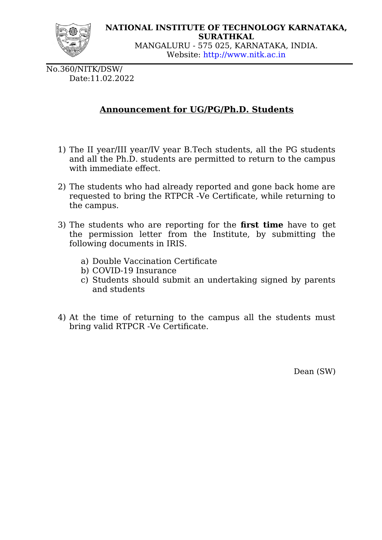

No.360/NITK/DSW/ Date:11.02.2022

## **Announcement for UG/PG/Ph.D. Students**

- 1) The II year/III year/IV year B.Tech students, all the PG students and all the Ph.D. students are permitted to return to the campus with immediate effect.
- 2) The students who had already reported and gone back home are requested to bring the RTPCR -Ve Certificate, while returning to the campus.
- 3) The students who are reporting for the **first time** have to get the permission letter from the Institute, by submitting the following documents in IRIS.
	- a) Double Vaccination Certificate
	- b) COVID-19 Insurance
	- c) Students should submit an undertaking signed by parents and students
- 4) At the time of returning to the campus all the students must bring valid RTPCR -Ve Certificate.

Dean (SW)